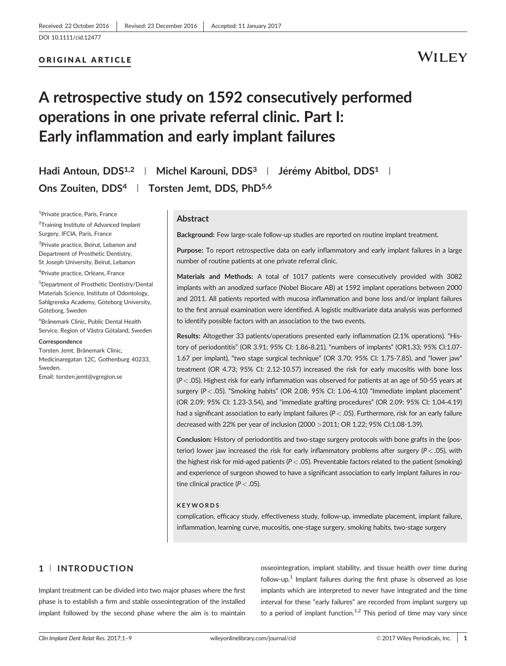#### ORIGINAL ARTICLE

### WILEY

### A retrospective study on 1592 consecutively performed operations in one private referral clinic. Part I: Early inflammation and early implant failures

Hadi Antoun, DDS<sup>1,2</sup> | Michel Karouni, DDS<sup>3</sup> | Jérémy Abitbol, DDS<sup>1</sup> | Ons Zouiten, DDS<sup>4</sup> | Torsten Jemt, DDS, PhD<sup>5,6</sup>

<sup>1</sup>Private practice, Paris, France <sup>2</sup>Training Institute of Advanced Implant Surgery, IFCIA, Paris, France

<sup>3</sup>Private practice, Beirut, Lebanon and Department of Prosthetic Dentistry, St Joseph University, Beirut, Lebanon

<sup>4</sup>Private practice, Orléans, France

5 Department of Prosthetic Dentistry/Dental Materials Science, Institute of Odontology, Sahlgrenska Academy, Göteborg University, Göteborg, Sweden

6 Brånemark Clinic, Public Dental Health Service, Region of Västra Götaland, Sweden

#### **Correspondence**

Torsten Jemt, Brånemark Clinic, Medicinaregatan 12C, Gothenburg 40233, Sweden.

Email: torsten.jemt@vgregion.se

#### Abstract

Background: Few large-scale follow-up studies are reported on routine implant treatment.

Purpose: To report retrospective data on early inflammatory and early implant failures in a large number of routine patients at one private referral clinic.

Materials and Methods: A total of 1017 patients were consecutively provided with 3082 implants with an anodized surface (Nobel Biocare AB) at 1592 implant operations between 2000 and 2011. All patients reported with mucosa inflammation and bone loss and/or implant failures to the first annual examination were identified. A logistic multivariate data analysis was performed to identify possible factors with an association to the two events.

Results: Altogether 33 patients/operations presented early inflammation (2.1% operations). "History of periodontitis" (OR 3.91; 95% CI: 1.86-8.21), "numbers of implants" (OR1.33; 95% CI:1.07- 1.67 per implant), "two stage surgical technique" (OR 3.70; 95% CI: 1.75-7.85), and "lower jaw" treatment (OR 4.73; 95% CI: 2.12-10.57) increased the risk for early mucositis with bone loss  $(P < .05)$ . Highest risk for early inflammation was observed for patients at an age of 50-55 years at surgery  $(P < .05)$ . "Smoking habits" (OR 2.08; 95% CI: 1.06-4.10) "Immediate implant placement" (OR 2.09; 95% CI: 1.23-3.54), and "immediate grafting procedures" (OR 2.09; 95% CI: 1.04-4.19) had a significant association to early implant failures ( $P < .05$ ). Furthermore, risk for an early failure decreased with 22% per year of inclusion (2000 >2011; OR 1.22; 95% CI;1.08-1.39).

Conclusion: History of periodontitis and two-stage surgery protocols with bone grafts in the (posterior) lower jaw increased the risk for early inflammatory problems after surgery ( $P <$  .05), with the highest risk for mid-aged patients ( $P < .05$ ). Preventable factors related to the patient (smoking) and experience of surgeon showed to have a significant association to early implant failures in routine clinical practice ( $P < .05$ ).

#### **KEYWORDS**

complication, efficacy study, effectiveness study, follow-up, immediate placement, implant failure, inflammation, learning curve, mucositis, one-stage surgery, smoking habits, two-stage surgery

#### 1 <sup>|</sup> INTRODUCTION

Implant treatment can be divided into two major phases where the first phase is to establish a firm and stable osseointegration of the installed implant followed by the second phase where the aim is to maintain

osseointegration, implant stability, and tissue health over time during follow-up.<sup>1</sup> Implant failures during the first phase is observed as lose implants which are interpreted to never have integrated and the time interval for these "early failures" are recorded from implant surgery up to a period of implant function.<sup>1,2</sup> This period of time may vary since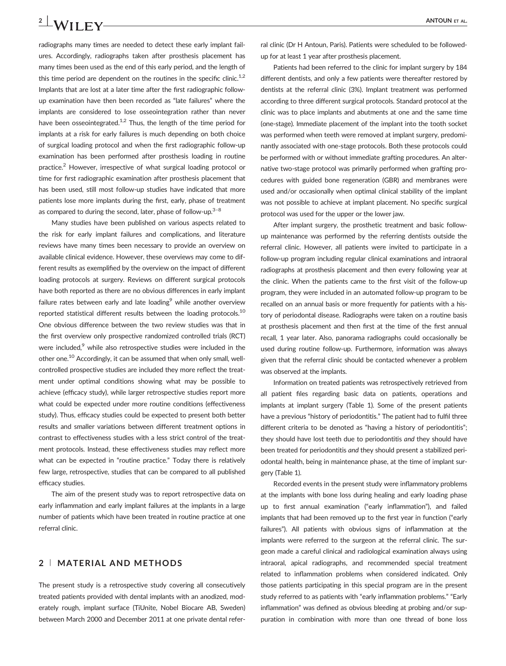## 2 | ANTOUN ET AL.

radiographs many times are needed to detect these early implant failures. Accordingly, radiographs taken after prosthesis placement has many times been used as the end of this early period, and the length of this time period are dependent on the routines in the specific clinic.<sup>1,2</sup> Implants that are lost at a later time after the first radiographic followup examination have then been recorded as "late failures" where the implants are considered to lose osseointegration rather than never have been osseointegrated.<sup>1,2</sup> Thus, the length of the time period for implants at a risk for early failures is much depending on both choice of surgical loading protocol and when the first radiographic follow-up examination has been performed after prosthesis loading in routine practice.<sup>2</sup> However, irrespective of what surgical loading protocol or time for first radiographic examination after prosthesis placement that has been used, still most follow-up studies have indicated that more patients lose more implants during the first, early, phase of treatment as compared to during the second, later, phase of follow-up. $3-8$ 

Many studies have been published on various aspects related to the risk for early implant failures and complications, and literature reviews have many times been necessary to provide an overview on available clinical evidence. However, these overviews may come to different results as exemplified by the overview on the impact of different loading protocols at surgery. Reviews on different surgical protocols have both reported as there are no obvious differences in early implant failure rates between early and late loading $9$  while another overview reported statistical different results between the loading protocols.<sup>10</sup> One obvious difference between the two review studies was that in the first overview only prospective randomized controlled trials (RCT) were included,<sup>9</sup> while also retrospective studies were included in the other one.<sup>10</sup> Accordingly, it can be assumed that when only small, wellcontrolled prospective studies are included they more reflect the treatment under optimal conditions showing what may be possible to achieve (efficacy study), while larger retrospective studies report more what could be expected under more routine conditions (effectiveness study). Thus, efficacy studies could be expected to present both better results and smaller variations between different treatment options in contrast to effectiveness studies with a less strict control of the treatment protocols. Instead, these effectiveness studies may reflect more what can be expected in "routine practice." Today there is relatively few large, retrospective, studies that can be compared to all published efficacy studies.

The aim of the present study was to report retrospective data on early inflammation and early implant failures at the implants in a large number of patients which have been treated in routine practice at one referral clinic.

#### 2 <sup>|</sup> MATERIAL AND METHODS

The present study is a retrospective study covering all consecutively treated patients provided with dental implants with an anodized, moderately rough, implant surface (TiUnite, Nobel Biocare AB, Sweden) between March 2000 and December 2011 at one private dental referral clinic (Dr H Antoun, Paris). Patients were scheduled to be followedup for at least 1 year after prosthesis placement.

Patients had been referred to the clinic for implant surgery by 184 different dentists, and only a few patients were thereafter restored by dentists at the referral clinic (3%). Implant treatment was performed according to three different surgical protocols. Standard protocol at the clinic was to place implants and abutments at one and the same time (one-stage). Immediate placement of the implant into the tooth socket was performed when teeth were removed at implant surgery, predominantly associated with one-stage protocols. Both these protocols could be performed with or without immediate grafting procedures. An alternative two-stage protocol was primarily performed when grafting procedures with guided bone regeneration (GBR) and membranes were used and/or occasionally when optimal clinical stability of the implant was not possible to achieve at implant placement. No specific surgical protocol was used for the upper or the lower jaw.

After implant surgery, the prosthetic treatment and basic followup maintenance was performed by the referring dentists outside the referral clinic. However, all patients were invited to participate in a follow-up program including regular clinical examinations and intraoral radiographs at prosthesis placement and then every following year at the clinic. When the patients came to the first visit of the follow-up program, they were included in an automated follow-up program to be recalled on an annual basis or more frequently for patients with a history of periodontal disease. Radiographs were taken on a routine basis at prosthesis placement and then first at the time of the first annual recall, 1 year later. Also, panorama radiographs could occasionally be used during routine follow-up. Furthermore, information was always given that the referral clinic should be contacted whenever a problem was observed at the implants.

Information on treated patients was retrospectively retrieved from all patient files regarding basic data on patients, operations and implants at implant surgery (Table 1). Some of the present patients have a previous "history of periodontitis." The patient had to fulfil three different criteria to be denoted as "having a history of periodontitis"; they should have lost teeth due to periodontitis and they should have been treated for periodontitis and they should present a stabilized periodontal health, being in maintenance phase, at the time of implant surgery (Table 1).

Recorded events in the present study were inflammatory problems at the implants with bone loss during healing and early loading phase up to first annual examination ("early inflammation"), and failed implants that had been removed up to the first year in function ("early failures"). All patients with obvious signs of inflammation at the implants were referred to the surgeon at the referral clinic. The surgeon made a careful clinical and radiological examination always using intraoral, apical radiographs, and recommended special treatment related to inflammation problems when considered indicated. Only those patients participating in this special program are in the present study referred to as patients with "early inflammation problems." "Early inflammation" was defined as obvious bleeding at probing and/or suppuration in combination with more than one thread of bone loss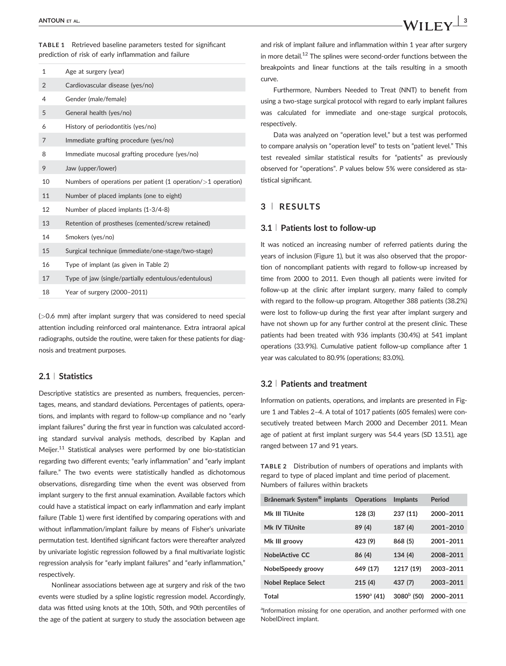TABLE 1 Retrieved baseline parameters tested for significant prediction of risk of early inflammation and failure

| $\mathbf{1}$   | Age at surgery (year)                                           |
|----------------|-----------------------------------------------------------------|
| $\overline{2}$ | Cardiovascular disease (yes/no)                                 |
| 4              | Gender (male/female)                                            |
| 5              | General health (yes/no)                                         |
| 6              | History of periodontitis (yes/no)                               |
| 7              | Immediate grafting procedure (yes/no)                           |
| 8              | Immediate mucosal grafting procedure (yes/no)                   |
| 9              | Jaw (upper/lower)                                               |
| 10             | Numbers of operations per patient (1 operation/ $>1$ operation) |
| 11             | Number of placed implants (one to eight)                        |
| 12             | Number of placed implants (1-3/4-8)                             |
| 13             | Retention of prostheses (cemented/screw retained)               |
| 14             | Smokers (yes/no)                                                |
| 15             | Surgical technique (immediate/one-stage/two-stage)              |
| 16             | Type of implant (as given in Table 2)                           |
| 17             | Type of jaw (single/partially edentulous/edentulous)            |
| 18             | Year of surgery (2000-2011)                                     |

(>0.6 mm) after implant surgery that was considered to need special attention including reinforced oral maintenance. Extra intraoral apical radiographs, outside the routine, were taken for these patients for diagnosis and treatment purposes.

#### 2.1 <sup>|</sup> Statistics

Descriptive statistics are presented as numbers, frequencies, percentages, means, and standard deviations. Percentages of patients, operations, and implants with regard to follow-up compliance and no "early implant failures" during the first year in function was calculated according standard survival analysis methods, described by Kaplan and Meijer.<sup>11</sup> Statistical analyses were performed by one bio-statistician regarding two different events; "early inflammation" and "early implant failure." The two events were statistically handled as dichotomous observations, disregarding time when the event was observed from implant surgery to the first annual examination. Available factors which could have a statistical impact on early inflammation and early implant failure (Table 1) were first identified by comparing operations with and without inflammation/implant failure by means of Fisher's univariate permutation test. Identified significant factors were thereafter analyzed by univariate logistic regression followed by a final multivariate logistic regression analysis for "early implant failures" and "early inflammation," respectively.

Nonlinear associations between age at surgery and risk of the two events were studied by a spline logistic regression model. Accordingly, data was fitted using knots at the 10th, 50th, and 90th percentiles of the age of the patient at surgery to study the association between age

and risk of implant failure and inflammation within 1 year after surgery in more detail.<sup>12</sup> The splines were second-order functions between the breakpoints and linear functions at the tails resulting in a smooth curve.

Furthermore, Numbers Needed to Treat (NNT) to benefit from using a two-stage surgical protocol with regard to early implant failures was calculated for immediate and one-stage surgical protocols, respectively.

Data was analyzed on "operation level," but a test was performed to compare analysis on "operation level" to tests on "patient level." This test revealed similar statistical results for "patients" as previously observed for "operations". P values below 5% were considered as statistical significant.

#### 3 <sup>|</sup> RESULTS

#### 3.1 <sup>|</sup> Patients lost to follow-up

It was noticed an increasing number of referred patients during the years of inclusion (Figure 1), but it was also observed that the proportion of noncompliant patients with regard to follow-up increased by time from 2000 to 2011. Even though all patients were invited for follow-up at the clinic after implant surgery, many failed to comply with regard to the follow-up program. Altogether 388 patients (38.2%) were lost to follow-up during the first year after implant surgery and have not shown up for any further control at the present clinic. These patients had been treated with 936 implants (30.4%) at 541 implant operations (33.9%). Cumulative patient follow-up compliance after 1 year was calculated to 80.9% (operations; 83.0%).

#### 3.2 <sup>|</sup> Patients and treatment

Information on patients, operations, and implants are presented in Figure 1 and Tables 2–4. A total of 1017 patients (605 females) were consecutively treated between March 2000 and December 2011. Mean age of patient at first implant surgery was 54.4 years (SD 13.51), age ranged between 17 and 91 years.

TABLE 2 Distribution of numbers of operations and implants with regard to type of placed implant and time period of placement. Numbers of failures within brackets

| Brånemark System <sup>®</sup> implants | <b>Operations</b>   | <b>Implants</b> | Period    |
|----------------------------------------|---------------------|-----------------|-----------|
| Mk III TiUnite                         | 128 (3)             | 237(11)         | 2000-2011 |
| Mk IV TiUnite                          | 89 (4)              | 187 (4)         | 2001-2010 |
| Mk III groovy                          | 423 (9)             | 868 (5)         | 2001-2011 |
| NobelActive CC                         | 86 (4)              | 134(4)          | 2008-2011 |
| NobelSpeedy groovy                     | 649 (17)            | 1217 (19)       | 2003-2011 |
| <b>Nobel Replace Select</b>            | 215(4)              | 437 (7)         | 2003-2011 |
| Total                                  | $1590^{\circ}$ (41) | $3080b$ (50)    | 2000-2011 |

<sup>a</sup>Information missing for one operation, and another performed with one NobelDirect implant.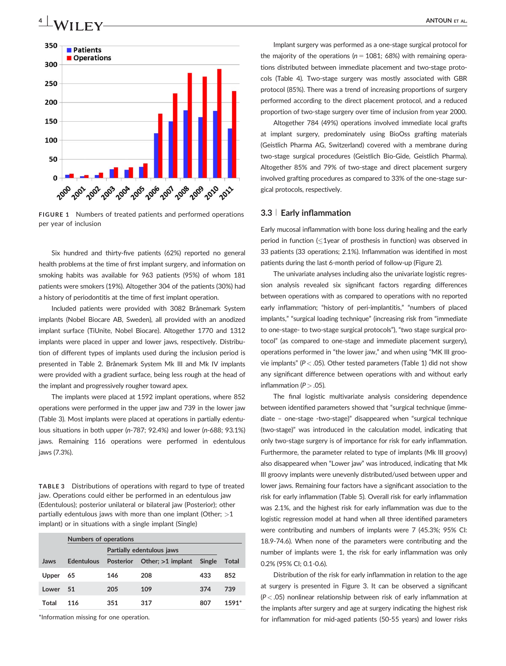### $^{4}$  | M/II FM/



FIGURE 1 Numbers of treated patients and performed operations per year of inclusion

Six hundred and thirty-five patients (62%) reported no general health problems at the time of first implant surgery, and information on smoking habits was available for 963 patients (95%) of whom 181 patients were smokers (19%). Altogether 304 of the patients (30%) had a history of periodontitis at the time of first implant operation.

Included patients were provided with 3082 Brånemark System implants (Nobel Biocare AB, Sweden), all provided with an anodized implant surface (TiUnite, Nobel Biocare). Altogether 1770 and 1312 implants were placed in upper and lower jaws, respectively. Distribution of different types of implants used during the inclusion period is presented in Table 2. Brånemark System Mk III and Mk IV implants were provided with a gradient surface, being less rough at the head of the implant and progressively rougher toward apex.

The implants were placed at 1592 implant operations, where 852 operations were performed in the upper jaw and 739 in the lower jaw (Table 3). Most implants were placed at operations in partially edentulous situations in both upper (n-787; 92.4%) and lower (n-688; 93.1%) jaws. Remaining 116 operations were performed in edentulous jaws (7.3%).

TABLE 3 Distributions of operations with regard to type of treated jaw. Operations could either be performed in an edentulous jaw (Edentulous); posterior unilateral or bilateral jaw (Posterior); other partially edentulous jaws with more than one implant (Other;  $>1$ implant) or in situations with a single implant (Single)

|       | <b>Numbers of operations</b> |                           |                     |        |       |
|-------|------------------------------|---------------------------|---------------------|--------|-------|
|       |                              | Partially edentulous jaws |                     |        |       |
| Jaws  | <b>Edentulous</b>            | <b>Posterior</b>          | Other; $>1$ implant | Single | Total |
| Upper | 65                           | 146                       | 208                 | 433    | 852   |
| Lower | 51                           | 205                       | 109                 | 374    | 739   |
| Total | 116                          | 351                       | 317                 | 807    | 1591* |

\*Information missing for one operation.

Implant surgery was performed as a one-stage surgical protocol for the majority of the operations ( $n = 1081$ ; 68%) with remaining operations distributed between immediate placement and two-stage protocols (Table 4). Two-stage surgery was mostly associated with GBR protocol (85%). There was a trend of increasing proportions of surgery performed according to the direct placement protocol, and a reduced proportion of two-stage surgery over time of inclusion from year 2000.

Altogether 784 (49%) operations involved immediate local grafts at implant surgery, predominately using BioOss grafting materials (Geistlich Pharma AG, Switzerland) covered with a membrane during two-stage surgical procedures (Geistlich Bio-Gide, Geistlich Pharma). Altogether 85% and 79% of two-stage and direct placement surgery involved grafting procedures as compared to 33% of the one-stage surgical protocols, respectively.

#### 3.3 <sup>|</sup> Early inflammation

Early mucosal inflammation with bone loss during healing and the early period in function  $\leq$  1year of prosthesis in function) was observed in 33 patients (33 operations; 2.1%). Inflammation was identified in most patients during the last 6-month period of follow-up (Figure 2).

The univariate analyses including also the univariate logistic regression analysis revealed six significant factors regarding differences between operations with as compared to operations with no reported early inflammation; "history of peri-implantitis," "numbers of placed implants," "surgical loading technique" (increasing risk from "immediate to one-stage- to two-stage surgical protocols"), "two stage surgical protocol" (as compared to one-stage and immediate placement surgery), operations performed in "the lower jaw," and when using "MK III groovie implants" (P < .05). Other tested parameters (Table 1) did not show any significant difference between operations with and without early inflammation ( $P > .05$ ).

The final logistic multivariate analysis considering dependence between identified parameters showed that "surgical technique (immediate – one-stage -two-stage)" disappeared when "surgical technique (two-stage)" was introduced in the calculation model, indicating that only two-stage surgery is of importance for risk for early inflammation. Furthermore, the parameter related to type of implants (Mk III groovy) also disappeared when "Lower jaw" was introduced, indicating that Mk III groovy implants were unevenly distributed/used between upper and lower jaws. Remaining four factors have a significant association to the risk for early inflammation (Table 5). Overall risk for early inflammation was 2.1%, and the highest risk for early inflammation was due to the logistic regression model at hand when all three identified parameters were contributing and numbers of implants were 7 (45.3%; 95% CI: 18.9-74.6). When none of the parameters were contributing and the number of implants were 1, the risk for early inflammation was only 0.2% (95% CI; 0.1-0.6).

Distribution of the risk for early inflammation in relation to the age at surgery is presented in Figure 3. It can be observed a significant  $(P < .05)$  nonlinear relationship between risk of early inflammation at the implants after surgery and age at surgery indicating the highest risk for inflammation for mid-aged patients (50-55 years) and lower risks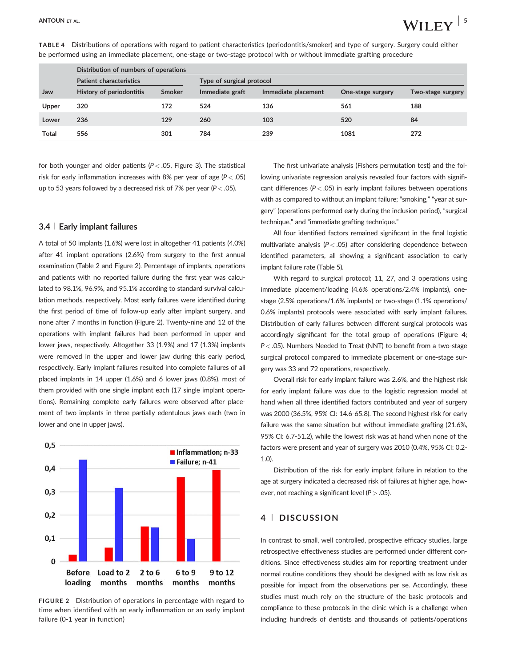TABLE 4 Distributions of operations with regard to patient characteristics (periodontitis/smoker) and type of surgery. Surgery could either be performed using an immediate placement, one-stage or two-stage protocol with or without immediate grafting procedure

for both younger and older patients ( $P < .05$ , Figure 3). The statistical risk for early inflammation increases with 8% per year of age ( $P < .05$ ) up to 53 years followed by a decreased risk of 7% per year ( $P < .05$ ).

#### 3.4 <sup>|</sup> Early implant failures

A total of 50 implants (1.6%) were lost in altogether 41 patients (4.0%) after 41 implant operations (2.6%) from surgery to the first annual examination (Table 2 and Figure 2). Percentage of implants, operations and patients with no reported failure during the first year was calculated to 98.1%, 96.9%, and 95.1% according to standard survival calculation methods, respectively. Most early failures were identified during the first period of time of follow-up early after implant surgery, and none after 7 months in function (Figure 2). Twenty-nine and 12 of the operations with implant failures had been performed in upper and lower jaws, respectively. Altogether 33 (1.9%) and 17 (1.3%) implants were removed in the upper and lower jaw during this early period, respectively. Early implant failures resulted into complete failures of all placed implants in 14 upper (1.6%) and 6 lower jaws (0.8%), most of them provided with one single implant each (17 single implant operations). Remaining complete early failures were observed after placement of two implants in three partially edentulous jaws each (two in lower and one in upper jaws).



FIGURE 2 Distribution of operations in percentage with regard to time when identified with an early inflammation or an early implant failure (0-1 year in function)

The first univariate analysis (Fishers permutation test) and the following univariate regression analysis revealed four factors with significant differences ( $P < .05$ ) in early implant failures between operations with as compared to without an implant failure; "smoking," "year at surgery" (operations performed early during the inclusion period), "surgical technique," and "immediate grafting technique."

All four identified factors remained significant in the final logistic multivariate analysis ( $P < .05$ ) after considering dependence between identified parameters, all showing a significant association to early implant failure rate (Table 5).

With regard to surgical protocol; 11, 27, and 3 operations using immediate placement/loading (4.6% operations/2.4% implants), onestage (2.5% operations/1.6% implants) or two-stage (1.1% operations/ 0.6% implants) protocols were associated with early implant failures. Distribution of early failures between different surgical protocols was accordingly significant for the total group of operations (Figure 4; P < .05). Numbers Needed to Treat (NNT) to benefit from a two-stage surgical protocol compared to immediate placement or one-stage surgery was 33 and 72 operations, respectively.

Overall risk for early implant failure was 2.6%, and the highest risk for early implant failure was due to the logistic regression model at hand when all three identified factors contributed and year of surgery was 2000 (36.5%, 95% CI: 14.6-65.8). The second highest risk for early failure was the same situation but without immediate grafting (21.6%, 95% CI: 6.7-51.2), while the lowest risk was at hand when none of the factors were present and year of surgery was 2010 (0.4%, 95% CI: 0.2- 1.0).

Distribution of the risk for early implant failure in relation to the age at surgery indicated a decreased risk of failures at higher age, however, not reaching a significant level ( $P > .05$ ).

#### 4 <sup>|</sup> DISCUSSION

In contrast to small, well controlled, prospective efficacy studies, large retrospective effectiveness studies are performed under different conditions. Since effectiveness studies aim for reporting treatment under normal routine conditions they should be designed with as low risk as possible for impact from the observations per se. Accordingly, these studies must much rely on the structure of the basic protocols and compliance to these protocols in the clinic which is a challenge when including hundreds of dentists and thousands of patients/operations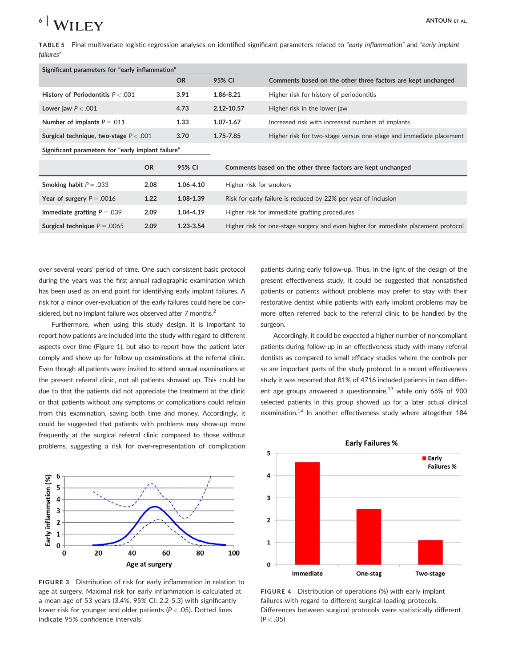TABLE 5 Final multivariate logistic regression analyses on identified significant parameters related to "early inflammation" and "early implant  $6$  | **A** $\lambda$ *I* **I C** $\lambda$ <sub>I</sub> **C** 

| Significant parameters for "early inflammation" |           |            |                                                                    |
|-------------------------------------------------|-----------|------------|--------------------------------------------------------------------|
|                                                 | <b>OR</b> | 95% CI     | Comments based on the other three factors are kept unchanged       |
| History of Periodontitis $P < .001$             | 3.91      | 1.86-8.21  | Higher risk for history of periodontitis                           |
| Lower jaw $P < .001$                            | 4.73      | 2.12-10.57 | Higher risk in the lower jaw                                       |
| Number of implants $P = .011$                   | 1.33      | 1.07-1.67  | Increased risk with increased numbers of implants                  |
| Surgical technique, two-stage $P < .001$        | 3.70      | 1.75-7.85  | Higher risk for two-stage versus one-stage and immediate placement |
|                                                 |           |            |                                                                    |

Significant parameters for "early implant failure"

failures"

|                                            | OR   | 95% CI        | Comments based on the other three factors are kept unchanged                       |
|--------------------------------------------|------|---------------|------------------------------------------------------------------------------------|
| <b>Smoking habit <math>P = .033</math></b> | 2.08 | 1.06-4.10     | Higher risk for smokers                                                            |
| Year of surgery $P = .0016$                | 1.22 | 1.08-1.39     | Risk for early failure is reduced by 22% per year of inclusion                     |
| Immediate grafting $P = .039$              | 2.09 | 1.04-4.19     | Higher risk for immediate grafting procedures                                      |
| Surgical technique $P = .0065$             | 2.09 | $1.23 - 3.54$ | Higher risk for one-stage surgery and even higher for immediate placement protocol |

over several years' period of time. One such consistent basic protocol during the years was the first annual radiographic examination which has been used as an end point for identifying early implant failures. A risk for a minor over-evaluation of the early failures could here be considered, but no implant failure was observed after 7 months. $2$ 

Furthermore, when using this study design, it is important to report how patients are included into the study with regard to different aspects over time (Figure 1), but also to report how the patient later comply and show-up for follow-up examinations at the referral clinic. Even though all patients were invited to attend annual examinations at the present referral clinic, not all patients showed up. This could be due to that the patients did not appreciate the treatment at the clinic or that patients without any symptoms or complications could refrain from this examination, saving both time and money. Accordingly, it could be suggested that patients with problems may show-up more frequently at the surgical referral clinic compared to those without problems, suggesting a risk for over-representation of complication



FIGURE 3 Distribution of risk for early inflammation in relation to age at surgery. Maximal risk for early inflammation is calculated at a mean age of 53 years (3.4%, 95% CI: 2.2-5.3) with significantly lower risk for younger and older patients ( $P < .05$ ). Dotted lines indicate 95% confidence intervals

patients during early follow-up. Thus, in the light of the design of the present effectiveness study, it could be suggested that nonsatisfied patients or patients without problems may prefer to stay with their restorative dentist while patients with early implant problems may be more often referred back to the referral clinic to be handled by the surgeon.

Accordingly, it could be expected a higher number of noncompliant patients during follow-up in an effectiveness study with many referral dentists as compared to small efficacy studies where the controls per se are important parts of the study protocol. In a recent effectiveness study it was reported that 81% of 4716 included patients in two different age groups answered a questionnaire. $^{13}$  while only 66% of 900 selected patients in this group showed up for a later actual clinical examination.<sup>14</sup> In another effectiveness study where altogether 184



**Early Failures %** 

FIGURE 4 Distribution of operations (%) with early implant failures with regard to different surgical loading protocols. Differences between surgical protocols were statistically different  $(P < .05)$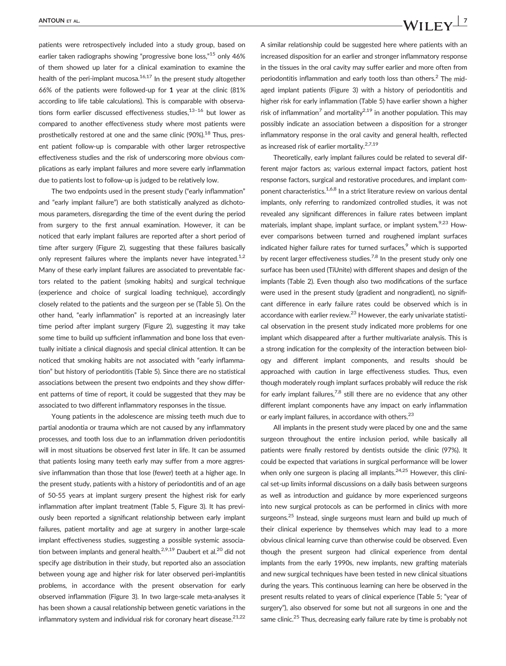patients were retrospectively included into a study group, based on earlier taken radiographs showing "progressive bone loss,"<sup>15</sup> only 46% of them showed up later for a clinical examination to examine the health of the peri-implant mucosa. $16,17$  In the present study altogether 66% of the patients were followed-up for 1 year at the clinic (81% according to life table calculations). This is comparable with observations form earlier discussed effectiveness studies, $13-16$  but lower as compared to another effectiveness study where most patients were prosthetically restored at one and the same clinic (90%).<sup>18</sup> Thus, present patient follow-up is comparable with other larger retrospective effectiveness studies and the risk of underscoring more obvious complications as early implant failures and more severe early inflammation due to patients lost to follow-up is judged to be relatively low.

The two endpoints used in the present study ("early inflammation" and "early implant failure") are both statistically analyzed as dichotomous parameters, disregarding the time of the event during the period from surgery to the first annual examination. However, it can be noticed that early implant failures are reported after a short period of time after surgery (Figure 2), suggesting that these failures basically only represent failures where the implants never have integrated.<sup>1,2</sup> Many of these early implant failures are associated to preventable factors related to the patient (smoking habits) and surgical technique (experience and choice of surgical loading technique), accordingly closely related to the patients and the surgeon per se (Table 5). On the other hand, "early inflammation" is reported at an increasingly later time period after implant surgery (Figure 2), suggesting it may take some time to build up sufficient inflammation and bone loss that eventually initiate a clinical diagnosis and special clinical attention. It can be noticed that smoking habits are not associated with "early inflammation" but history of periodontitis (Table 5). Since there are no statistical associations between the present two endpoints and they show different patterns of time of report, it could be suggested that they may be associated to two different inflammatory responses in the tissue.

Young patients in the adolescence are missing teeth much due to partial anodontia or trauma which are not caused by any inflammatory processes, and tooth loss due to an inflammation driven periodontitis will in most situations be observed first later in life. It can be assumed that patients losing many teeth early may suffer from a more aggressive inflammation than those that lose (fewer) teeth at a higher age. In the present study, patients with a history of periodontitis and of an age of 50-55 years at implant surgery present the highest risk for early inflammation after implant treatment (Table 5, Figure 3). It has previously been reported a significant relationship between early implant failures, patient mortality and age at surgery in another large-scale implant effectiveness studies, suggesting a possible systemic association between implants and general health.<sup>2,9,19</sup> Daubert et al.<sup>20</sup> did not specify age distribution in their study, but reported also an association between young age and higher risk for later observed peri-implantitis problems, in accordance with the present observation for early observed inflammation (Figure 3). In two large-scale meta-analyses it has been shown a causal relationship between genetic variations in the inflammatory system and individual risk for coronary heart disease. $21,22$ 

## ANTOUN ET AL.  $\blacksquare$

A similar relationship could be suggested here where patients with an increased disposition for an earlier and stronger inflammatory response in the tissues in the oral cavity may suffer earlier and more often from periodontitis inflammation and early tooth loss than others. $2$  The midaged implant patients (Figure 3) with a history of periodontitis and higher risk for early inflammation (Table 5) have earlier shown a higher risk of inflammation<sup>7</sup> and mortality<sup>2,19</sup> in another population. This may possibly indicate an association between a disposition for a stronger inflammatory response in the oral cavity and general health, reflected as increased risk of earlier mortality.<sup>2,7,19</sup>

Theoretically, early implant failures could be related to several different major factors as; various external impact factors, patient host response factors, surgical and restorative procedures, and implant component characteristics.<sup>1,6,8</sup> In a strict literature review on various dental implants, only referring to randomized controlled studies, it was not revealed any significant differences in failure rates between implant materials, implant shape, implant surface, or implant system.<sup>9,23</sup> However comparisons between turned and roughened implant surfaces indicated higher failure rates for turned surfaces,<sup>9</sup> which is supported by recent larger effectiveness studies.<sup>7,8</sup> In the present study only one surface has been used (TiUnite) with different shapes and design of the implants (Table 2). Even though also two modifications of the surface were used in the present study (gradient and nongradient), no significant difference in early failure rates could be observed which is in accordance with earlier review. $^{23}$  However, the early univariate statistical observation in the present study indicated more problems for one implant which disappeared after a further multivariate analysis. This is a strong indication for the complexity of the interaction between biology and different implant components, and results should be approached with caution in large effectiveness studies. Thus, even though moderately rough implant surfaces probably will reduce the risk for early implant failures,<sup>7,8</sup> still there are no evidence that any other different implant components have any impact on early inflammation or early implant failures, in accordance with others.<sup>23</sup>

All implants in the present study were placed by one and the same surgeon throughout the entire inclusion period, while basically all patients were finally restored by dentists outside the clinic (97%). It could be expected that variations in surgical performance will be lower when only one surgeon is placing all implants.<sup>24,25</sup> However, this clinical set-up limits informal discussions on a daily basis between surgeons as well as introduction and guidance by more experienced surgeons into new surgical protocols as can be performed in clinics with more surgeons.<sup>25</sup> Instead, single surgeons must learn and build up much of their clinical experience by themselves which may lead to a more obvious clinical learning curve than otherwise could be observed. Even though the present surgeon had clinical experience from dental implants from the early 1990s, new implants, new grafting materials and new surgical techniques have been tested in new clinical situations during the years. This continuous learning can here be observed in the present results related to years of clinical experience (Table 5; "year of surgery"), also observed for some but not all surgeons in one and the same clinic.<sup>25</sup> Thus, decreasing early failure rate by time is probably not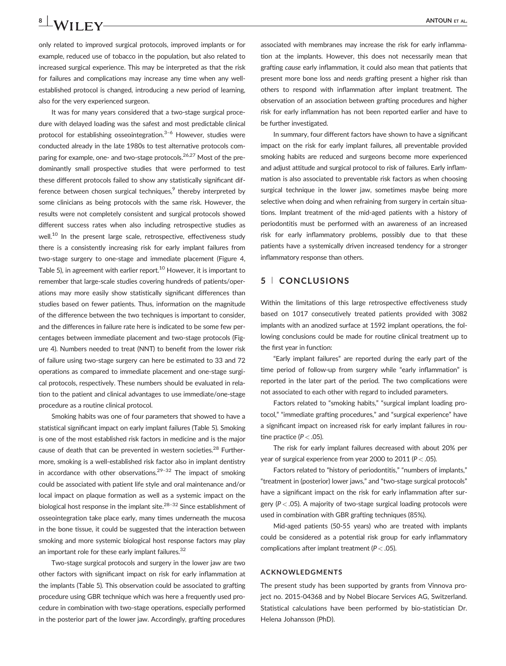# $8$   $\bigcup$   $\bigwedge$   $\bigwedge$   $\biguparrow$   $\biguparrow$   $\bigvee$   $\bigcup$   $\bigvee$   $\bigvee$   $\bigvee$   $\bigvee$   $\bigvee$   $\bigvee$   $\bigvee$   $\bigvee$   $\bigvee$   $\bigvee$   $\bigvee$   $\bigvee$   $\bigvee$   $\bigvee$   $\bigvee$   $\bigvee$   $\bigvee$   $\bigvee$   $\bigvee$   $\bigvee$   $\bigvee$   $\bigvee$   $\bigvee$   $\bigvee$   $\$

only related to improved surgical protocols, improved implants or for example, reduced use of tobacco in the population, but also related to increased surgical experience. This may be interpreted as that the risk for failures and complications may increase any time when any wellestablished protocol is changed, introducing a new period of learning, also for the very experienced surgeon.

It was for many years considered that a two-stage surgical procedure with delayed loading was the safest and most predictable clinical protocol for establishing osseointegration.<sup>3-6</sup> However, studies were conducted already in the late 1980s to test alternative protocols comparing for example, one- and two-stage protocols.<sup>26,27</sup> Most of the predominantly small prospective studies that were performed to test these different protocols failed to show any statistically significant difference between chosen surgical techniques, $9$  thereby interpreted by some clinicians as being protocols with the same risk. However, the results were not completely consistent and surgical protocols showed different success rates when also including retrospective studies as well.<sup>10</sup> In the present large scale, retrospective, effectiveness study there is a consistently increasing risk for early implant failures from two-stage surgery to one-stage and immediate placement (Figure 4, Table 5), in agreement with earlier report.<sup>10</sup> However, it is important to remember that large-scale studies covering hundreds of patients/operations may more easily show statistically significant differences than studies based on fewer patients. Thus, information on the magnitude of the difference between the two techniques is important to consider, and the differences in failure rate here is indicated to be some few percentages between immediate placement and two-stage protocols (Figure 4). Numbers needed to treat (NNT) to benefit from the lower risk of failure using two-stage surgery can here be estimated to 33 and 72 operations as compared to immediate placement and one-stage surgical protocols, respectively. These numbers should be evaluated in relation to the patient and clinical advantages to use immediate/one-stage procedure as a routine clinical protocol.

Smoking habits was one of four parameters that showed to have a statistical significant impact on early implant failures (Table 5). Smoking is one of the most established risk factors in medicine and is the major cause of death that can be prevented in western societies.<sup>28</sup> Furthermore, smoking is a well-established risk factor also in implant dentistry in accordance with other observations.<sup>29-32</sup> The impact of smoking could be associated with patient life style and oral maintenance and/or local impact on plaque formation as well as a systemic impact on the biological host response in the implant site. $28-32$  Since establishment of osseointegration take place early, many times underneath the mucosa in the bone tissue, it could be suggested that the interaction between smoking and more systemic biological host response factors may play an important role for these early implant failures.<sup>32</sup>

Two-stage surgical protocols and surgery in the lower jaw are two other factors with significant impact on risk for early inflammation at the implants (Table 5). This observation could be associated to grafting procedure using GBR technique which was here a frequently used procedure in combination with two-stage operations, especially performed in the posterior part of the lower jaw. Accordingly, grafting procedures

associated with membranes may increase the risk for early inflammation at the implants. However, this does not necessarily mean that grafting cause early inflammation, it could also mean that patients that present more bone loss and needs grafting present a higher risk than others to respond with inflammation after implant treatment. The observation of an association between grafting procedures and higher risk for early inflammation has not been reported earlier and have to be further investigated.

In summary, four different factors have shown to have a significant impact on the risk for early implant failures, all preventable provided smoking habits are reduced and surgeons become more experienced and adjust attitude and surgical protocol to risk of failures. Early inflammation is also associated to preventable risk factors as when choosing surgical technique in the lower jaw, sometimes maybe being more selective when doing and when refraining from surgery in certain situations. Implant treatment of the mid-aged patients with a history of periodontitis must be performed with an awareness of an increased risk for early inflammatory problems, possibly due to that these patients have a systemically driven increased tendency for a stronger inflammatory response than others.

#### 5 <sup>|</sup> CONCLUSIONS

Within the limitations of this large retrospective effectiveness study based on 1017 consecutively treated patients provided with 3082 implants with an anodized surface at 1592 implant operations, the following conclusions could be made for routine clinical treatment up to the first year in function:

"Early implant failures" are reported during the early part of the time period of follow-up from surgery while "early inflammation" is reported in the later part of the period. The two complications were not associated to each other with regard to included parameters.

Factors related to "smoking habits," "surgical implant loading protocol," "immediate grafting procedures," and "surgical experience" have a significant impact on increased risk for early implant failures in routine practice ( $P < .05$ ).

The risk for early implant failures decreased with about 20% per year of surgical experience from year 2000 to 2011 ( $P < .05$ ).

Factors related to "history of periodontitis," "numbers of implants," "treatment in (posterior) lower jaws," and "two-stage surgical protocols" have a significant impact on the risk for early inflammation after surgery ( $P < .05$ ). A majority of two-stage surgical loading protocols were used in combination with GBR grafting techniques (85%).

Mid-aged patients (50-55 years) who are treated with implants could be considered as a potential risk group for early inflammatory complications after implant treatment ( $P < .05$ ).

#### ACKNOWLEDGMENTS

The present study has been supported by grants from Vinnova project no. 2015-04368 and by Nobel Biocare Services AG, Switzerland. Statistical calculations have been performed by bio-statistician Dr. Helena Johansson (PhD).